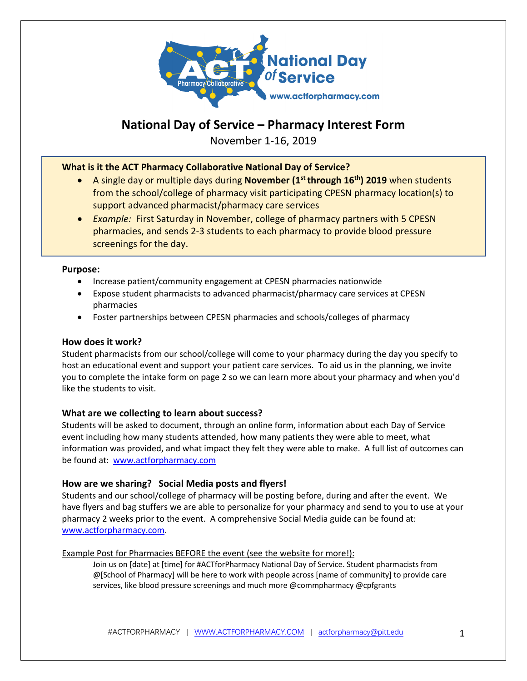

# **National Day of Service – Pharmacy Interest Form**

November 1-16, 2019

# **What is it the ACT Pharmacy Collaborative National Day of Service?**

- A single day or multiple days during **November (1st through 16th) 2019** when students from the school/college of pharmacy visit participating CPESN pharmacy location(s) to support advanced pharmacist/pharmacy care services
- *Example:* First Saturday in November, college of pharmacy partners with 5 CPESN pharmacies, and sends 2-3 students to each pharmacy to provide blood pressure screenings for the day.

## **Purpose:**

- Increase patient/community engagement at CPESN pharmacies nationwide
- Expose student pharmacists to advanced pharmacist/pharmacy care services at CPESN pharmacies
- Foster partnerships between CPESN pharmacies and schools/colleges of pharmacy

## **How does it work?**

Student pharmacists from our school/college will come to your pharmacy during the day you specify to host an educational event and support your patient care services. To aid us in the planning, we invite you to complete the intake form on page 2 so we can learn more about your pharmacy and when you'd like the students to visit.

## **What are we collecting to learn about success?**

Students will be asked to document, through an online form, information about each Day of Service event including how many students attended, how many patients they were able to meet, what information was provided, and what impact they felt they were able to make. A full list of outcomes can be found at: www.actforpharmacy.com

## **How are we sharing? Social Media posts and flyers!**

Students and our school/college of pharmacy will be posting before, during and after the event. We have flyers and bag stuffers we are able to personalize for your pharmacy and send to you to use at your pharmacy 2 weeks prior to the event. A comprehensive Social Media guide can be found at: www.actforpharmacy.com.

#### Example Post for Pharmacies BEFORE the event (see the website for more!):

Join us on [date] at [time] for #ACTforPharmacy National Day of Service. Student pharmacists from @[School of Pharmacy] will be here to work with people across [name of community] to provide care services, like blood pressure screenings and much more @commpharmacy @cpfgrants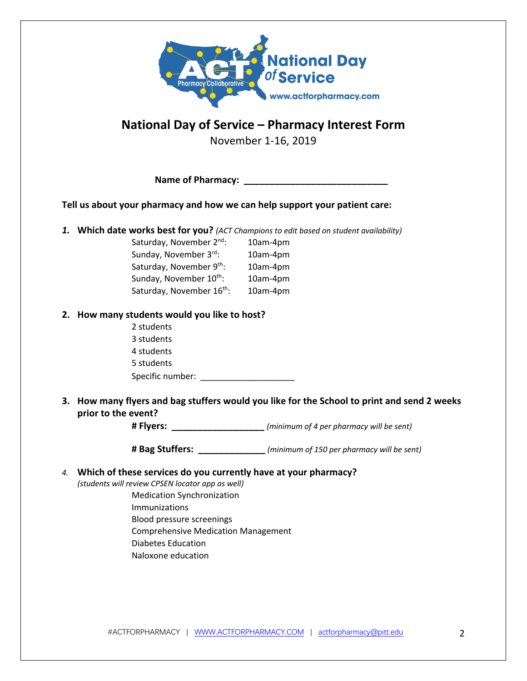

# **National Day of Service – Pharmacy Interest Form**

November 1-16, 2019

| <b>Name of Pharmacy:</b> |  |
|--------------------------|--|
|--------------------------|--|

**Tell us about your pharmacy and how we can help support your patient care:**

*1.* **Which date works best for you?** *(ACT Champions to edit based on student availability)* 

| Saturday, November 2 <sup>nd</sup> :  | 10am-4pm |
|---------------------------------------|----------|
| Sunday, November 3rd:                 | 10am-4pm |
| Saturday, November 9th:               | 10am-4pm |
| Sunday, November 10th:                | 10am-4pm |
| Saturday, November 16 <sup>th</sup> : | 10am-4pm |

# **2. How many students would you like to host?**

 2 students 3 students 4 students 5 students Specific number: \_\_\_\_\_\_\_\_\_\_\_\_\_\_\_\_\_\_\_\_

**3. How many flyers and bag stuffers would you like for the School to print and send 2 weeks prior to the event?**

**# Flyers: \_\_\_\_\_\_\_\_\_\_\_\_\_\_\_\_\_\_** *(minimum of 4 per pharmacy will be sent)*

**# Bag Stuffers: \_\_\_\_\_\_\_\_\_\_\_\_\_** *(minimum of 150 per pharmacy will be sent)*

## *4.* **Which of these services do you currently have at your pharmacy?**

*(students will review CPSEN locator app as well)*

- Medication Synchronization Immunizations
- Blood pressure screenings
- Comprehensive Medication Management
- Diabetes Education
- Naloxone education